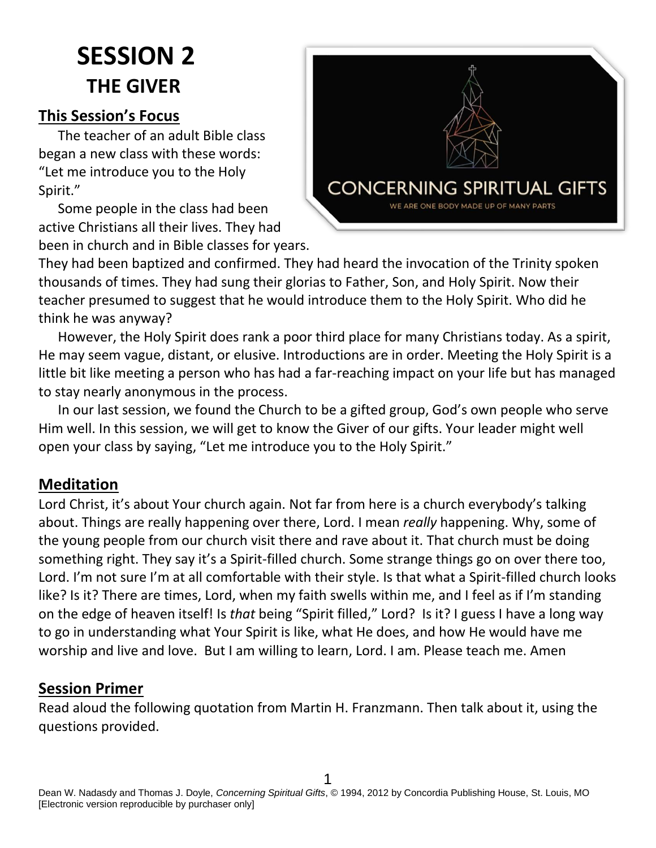# **SESSION 2 THE GIVER**

#### **This Session's Focus**

The teacher of an adult Bible class began a new class with these words: "Let me introduce you to the Holy Spirit."

Some people in the class had been active Christians all their lives. They had been in church and in Bible classes for years.



They had been baptized and confirmed. They had heard the invocation of the Trinity spoken thousands of times. They had sung their glorias to Father, Son, and Holy Spirit. Now their teacher presumed to suggest that he would introduce them to the Holy Spirit. Who did he think he was anyway?

However, the Holy Spirit does rank a poor third place for many Christians today. As a spirit, He may seem vague, distant, or elusive. Introductions are in order. Meeting the Holy Spirit is a little bit like meeting a person who has had a far-reaching impact on your life but has managed to stay nearly anonymous in the process.

In our last session, we found the Church to be a gifted group, God's own people who serve Him well. In this session, we will get to know the Giver of our gifts. Your leader might well open your class by saying, "Let me introduce you to the Holy Spirit."

#### **Meditation**

Lord Christ, it's about Your church again. Not far from here is a church everybody's talking about. Things are really happening over there, Lord. I mean *really* happening. Why, some of the young people from our church visit there and rave about it. That church must be doing something right. They say it's a Spirit-filled church. Some strange things go on over there too, Lord. I'm not sure I'm at all comfortable with their style. Is that what a Spirit-filled church looks like? Is it? There are times, Lord, when my faith swells within me, and I feel as if I'm standing on the edge of heaven itself! Is *that* being "Spirit filled," Lord? Is it? I guess I have a long way to go in understanding what Your Spirit is like, what He does, and how He would have me worship and live and love. But I am willing to learn, Lord. I am. Please teach me. Amen

#### **Session Primer**

Read aloud the following quotation from Martin H. Franzmann. Then talk about it, using the questions provided.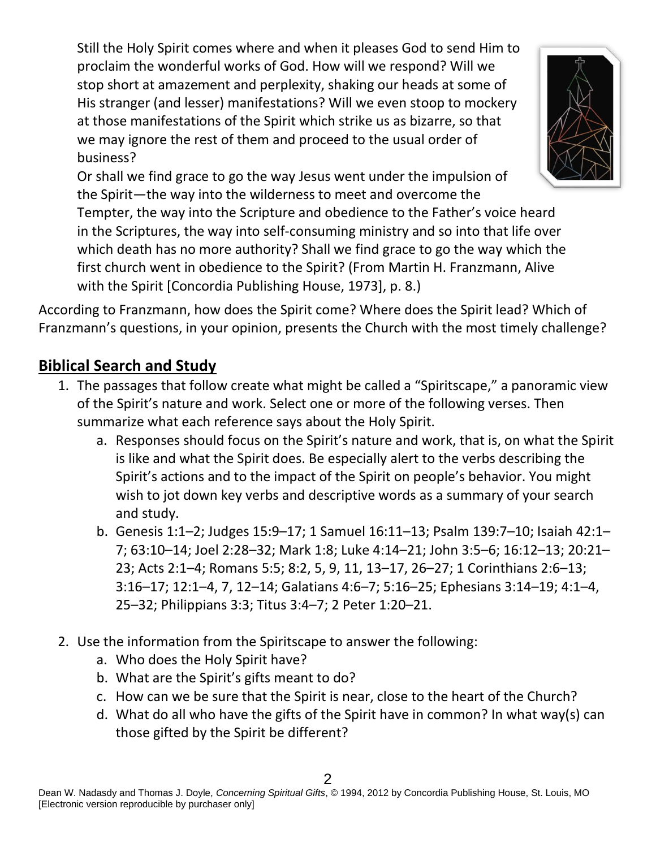Still the Holy Spirit comes where and when it pleases God to send Him to proclaim the wonderful works of God. How will we respond? Will we stop short at amazement and perplexity, shaking our heads at some of His stranger (and lesser) manifestations? Will we even stoop to mockery at those manifestations of the Spirit which strike us as bizarre, so that we may ignore the rest of them and proceed to the usual order of business?

Or shall we find grace to go the way Jesus went under the impulsion of the Spirit—the way into the wilderness to meet and overcome the Tempter, the way into the Scripture and obedience to the Father's voice heard in the Scriptures, the way into self-consuming ministry and so into that life over which death has no more authority? Shall we find grace to go the way which the first church went in obedience to the Spirit? (From Martin H. Franzmann, Alive with the Spirit [Concordia Publishing House, 1973], p. 8.)

According to Franzmann, how does the Spirit come? Where does the Spirit lead? Which of Franzmann's questions, in your opinion, presents the Church with the most timely challenge?

## **Biblical Search and Study**

- 1. The passages that follow create what might be called a "Spiritscape," a panoramic view of the Spirit's nature and work. Select one or more of the following verses. Then summarize what each reference says about the Holy Spirit.
	- a. Responses should focus on the Spirit's nature and work, that is, on what the Spirit is like and what the Spirit does. Be especially alert to the verbs describing the Spirit's actions and to the impact of the Spirit on people's behavior. You might wish to jot down key verbs and descriptive words as a summary of your search and study.
	- b. Genesis 1:1–2; Judges 15:9–17; 1 Samuel 16:11–13; Psalm 139:7–10; Isaiah 42:1– 7; 63:10–14; Joel 2:28–32; Mark 1:8; Luke 4:14–21; John 3:5–6; 16:12–13; 20:21– 23; Acts 2:1–4; Romans 5:5; 8:2, 5, 9, 11, 13–17, 26–27; 1 Corinthians 2:6–13; 3:16–17; 12:1–4, 7, 12–14; Galatians 4:6–7; 5:16–25; Ephesians 3:14–19; 4:1–4, 25–32; Philippians 3:3; Titus 3:4–7; 2 Peter 1:20–21.
- 2. Use the information from the Spiritscape to answer the following:
	- a. Who does the Holy Spirit have?
	- b. What are the Spirit's gifts meant to do?
	- c. How can we be sure that the Spirit is near, close to the heart of the Church?
	- d. What do all who have the gifts of the Spirit have in common? In what way(s) can those gifted by the Spirit be different?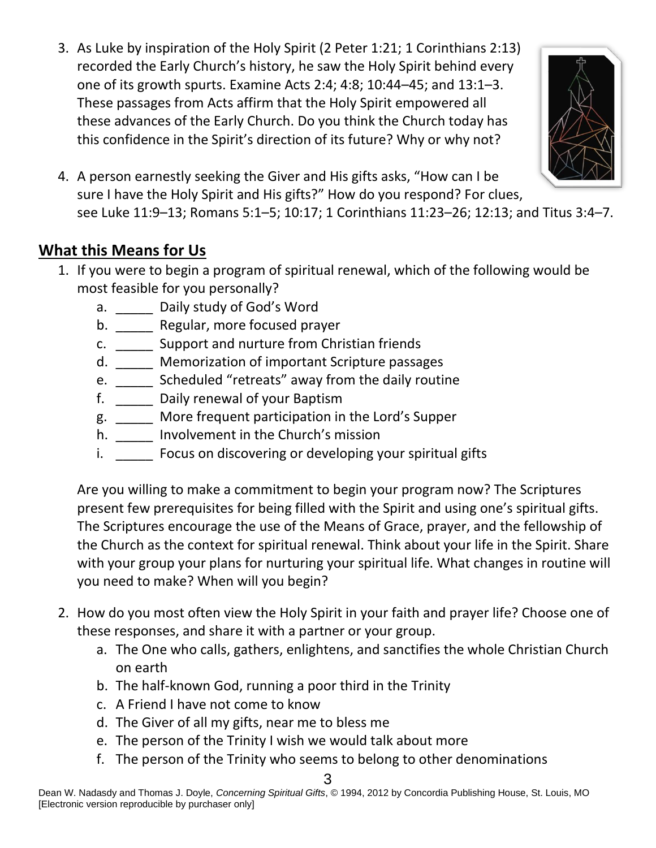3. As Luke by inspiration of the Holy Spirit (2 Peter 1:21; 1 Corinthians 2:13) recorded the Early Church's history, he saw the Holy Spirit behind every one of its growth spurts. Examine Acts 2:4; 4:8; 10:44–45; and 13:1–3. These passages from Acts affirm that the Holy Spirit empowered all these advances of the Early Church. Do you think the Church today has this confidence in the Spirit's direction of its future? Why or why not?



4. A person earnestly seeking the Giver and His gifts asks, "How can I be sure I have the Holy Spirit and His gifts?" How do you respond? For clues, see Luke 11:9–13; Romans 5:1–5; 10:17; 1 Corinthians 11:23–26; 12:13; and Titus 3:4–7.

### **What this Means for Us**

- 1. If you were to begin a program of spiritual renewal, which of the following would be most feasible for you personally?
	- a. \_\_\_\_\_\_ Daily study of God's Word
	- b. **Regular, more focused prayer**
	- c. \_\_\_\_\_ Support and nurture from Christian friends
	- d. **Memorization of important Scripture passages**
	- e. \_\_\_\_\_ Scheduled "retreats" away from the daily routine
	- f. \_\_\_\_\_ Daily renewal of your Baptism
	- g. \_\_\_\_\_ More frequent participation in the Lord's Supper
	- h. \_\_\_\_\_\_ Involvement in the Church's mission
	- i. Focus on discovering or developing your spiritual gifts

Are you willing to make a commitment to begin your program now? The Scriptures present few prerequisites for being filled with the Spirit and using one's spiritual gifts. The Scriptures encourage the use of the Means of Grace, prayer, and the fellowship of the Church as the context for spiritual renewal. Think about your life in the Spirit. Share with your group your plans for nurturing your spiritual life. What changes in routine will you need to make? When will you begin?

- 2. How do you most often view the Holy Spirit in your faith and prayer life? Choose one of these responses, and share it with a partner or your group.
	- a. The One who calls, gathers, enlightens, and sanctifies the whole Christian Church on earth
	- b. The half-known God, running a poor third in the Trinity
	- c. A Friend I have not come to know
	- d. The Giver of all my gifts, near me to bless me
	- e. The person of the Trinity I wish we would talk about more
	- f. The person of the Trinity who seems to belong to other denominations